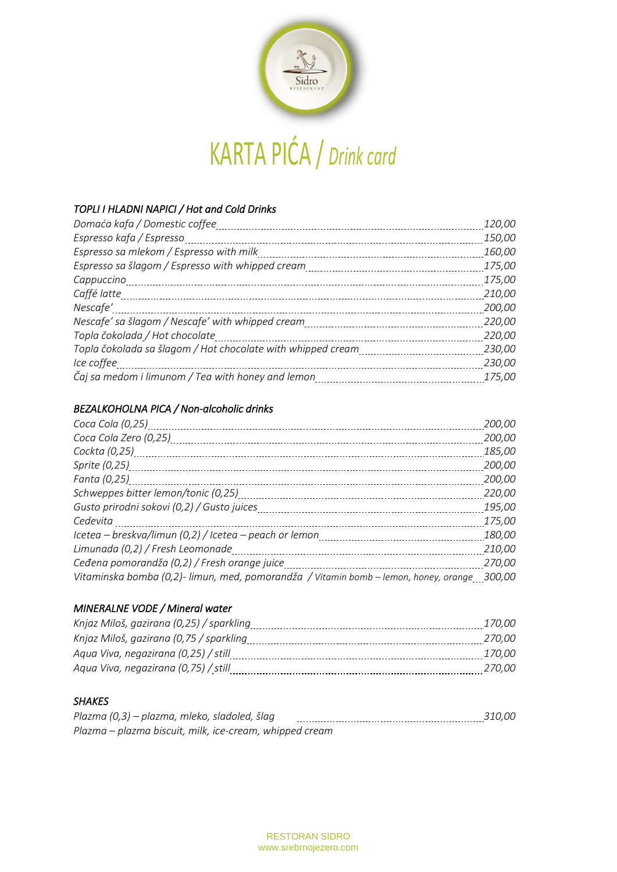

#### *TOPLI I HLADNI NAPICI / Hot and Cold Drinks*

| Domaća kafa / Domestic coffee                               | 120,00 |
|-------------------------------------------------------------|--------|
| Espresso kafa / Espresso                                    | 150,00 |
| Espresso sa mlekom / Espresso with milk                     | 160,00 |
|                                                             | 175,00 |
| Cappuccino                                                  | 175,00 |
| Caffé latte                                                 | 210,00 |
| Nescafe'                                                    | 200,00 |
| Nescafe' sa šlagom / Nescafe' with whipped cream            | 220,00 |
| Topla čokolada / Hot chocolate                              | 220,00 |
| Topla čokolada sa šlagom / Hot chocolate with whipped cream | 230,00 |
| Ice coffee                                                  | 230,00 |
| Čaj sa medom i limunom / Tea with honey and lemon           | 175,00 |

#### *BEZALKOHOLNA PICA / Non-alcoholic drinks*

| Coca Cola (0,25)                                                                            | 200,00 |
|---------------------------------------------------------------------------------------------|--------|
| Coca Cola Zero (0,25)                                                                       | 200,00 |
| Cockta (0,25)                                                                               | 185,00 |
|                                                                                             | 200,00 |
| Fanta (0,25)                                                                                | 200,00 |
| Schweppes bitter lemon/tonic (0,25)                                                         | 220,00 |
| Gusto prirodni sokovi (0,2) / Gusto juices                                                  | 195,00 |
| Cedevita                                                                                    | 175,00 |
| Icetea – breskva/limun (0,2) / Icetea – peach or lemon                                      | 180,00 |
| Limunada (0,2) / Fresh Leomonade                                                            | 210,00 |
| Ceđena pomorandža (0,2) / Fresh orange juice                                                | 270,00 |
| Vitaminska bomba (0,2)- limun, med, pomorandža / Vitamin bomb – lemon, honey, orange 300,00 |        |

#### *MINERALNE VODE / Mineral water*

| <i>170.00</i> |
|---------------|
| 270.00        |
| <i>170.00</i> |
| <i>270.00</i> |
|               |

#### *SHAKES*

| Plazma (0,3) – plazma, mleko, sladoled, šlag            | 310.00 |
|---------------------------------------------------------|--------|
| Plazma – plazma biscuit, milk, ice-cream, whipped cream |        |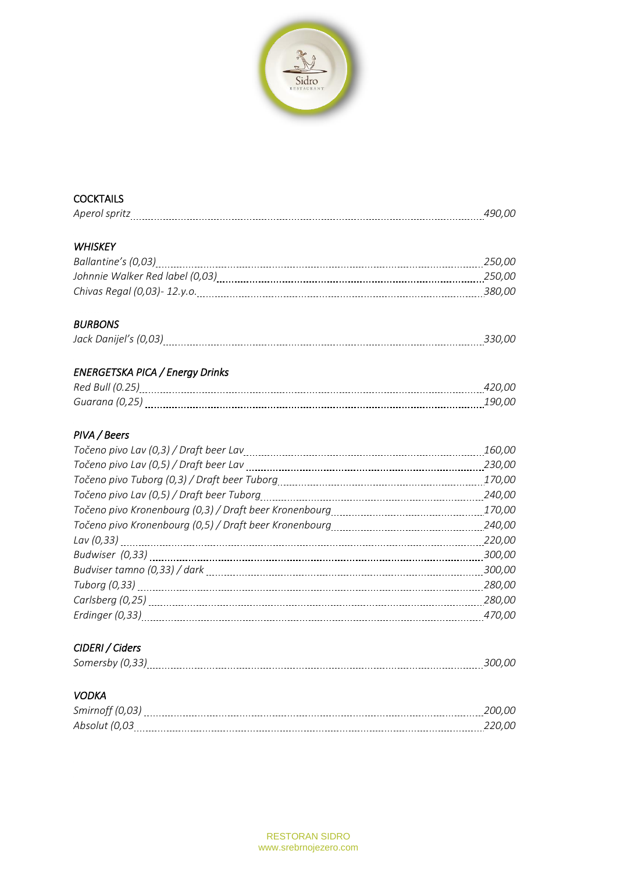

## **COCKTAILS**

## *WHISKEY*

| Ballantine's (0,03)             | 250.00 |
|---------------------------------|--------|
| Johnnie Walker Red label (0,03) | 250.00 |
| Chivas Regal (0,03)- 12.y.o.    | 380.00 |

### *BURBONS*

|--|--|

# *ENERGETSKA PICA / Energy Drinks*

| Ro |  |
|----|--|
|    |  |

#### *PIVA / Beers*

|                                                                                                                | 160,00 |
|----------------------------------------------------------------------------------------------------------------|--------|
|                                                                                                                | 230,00 |
| Točeno pivo Tuborg (0,3) / Draft beer Tuborg [1, 2010] [1, 2010] Točeno pivo Tuborg (0,3) / Draft beer Tuborg  | 170,00 |
|                                                                                                                | 240,00 |
|                                                                                                                | 170,00 |
|                                                                                                                | 240,00 |
|                                                                                                                | 220,00 |
|                                                                                                                | 300,00 |
|                                                                                                                | 300,00 |
|                                                                                                                | 280,00 |
|                                                                                                                | 280,00 |
| Erdinger (0,33) [11] The Contract Contract Contract Contract Contract Contract Contract Contract Contract Cont | 470,00 |
|                                                                                                                |        |

# *CIDERI / Ciders*

## *VODKA*

| Smirnoff    |  |
|-------------|--|
| ----------- |  |